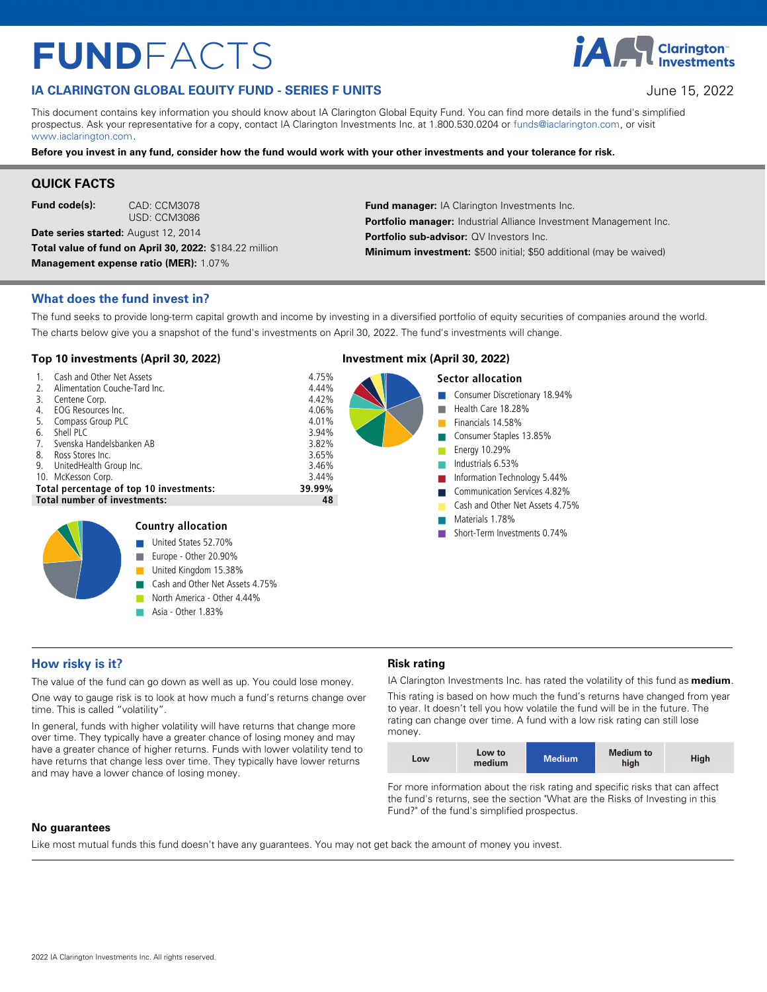# $FUNDFACTS$

# **IA CLARINGTON GLOBAL EQUITY FUND - SERIES F UNITS IMPORTANT AND SERIES TO A SERIES SUBSET AND SERIES SUBSET OF STATISTICS**

This document contains key information you should know about IA Clarington Global Equity Fund. You can find more details in the fund's simplified prospectus. Ask your representative for a copy, contact IA Clarington Investments Inc. at 1.800.530.0204 or [funds@iaclarington.com](mailto:funds@iaclarington.com) , or visit [www.iaclarington.com](http://www.iaclarington.com) .

**Before you invest in any fund, consider how the fund would work with your other investments and your tolerance for risk.** 

# **QUICK FACTS**

**Fund code(s):** CAD: CCM3078

USD: CCM3086

**Date series started:** August 12, 2014 **Total value of fund on April 30, 2022:** \$184.22 million **Management expense ratio (MER):** 1.07%

**Fund manager:** IA Clarington Investments Inc. Portfolio manager: Industrial Alliance Investment Management Inc. **Portfolio sub-advisor: QV Investors Inc. Minimum investment:** \$500 initial; \$50 additional (may be waived)

#### **What does the fund invest in?**

The fund seeks to provide long-term capital growth and income by investing in a diversified portfolio of equity securities of companies around the world. The charts below give you a snapshot of the fund's investments on April 30, 2022. The fund's investments will change.

### **Top 10 investments (April 30, 2022) Investment mix (April 30, 2022)**



Asia - Other 1.83%



# **How risky is it?**

The value of the fund can go down as well as up. You could lose money.

One way to gauge risk is to look at how much a fund's returns change over time. This is called "volatility".

In general, funds with higher volatility will have returns that change more over time. They typically have a greater chance of losing money and may have a greater chance of higher returns. Funds with lower volatility tend to have returns that change less over time. They typically have lower returns and may have a lower chance of losing money.

#### **Risk rating**

IA Clarington Investments Inc. has rated the volatility of this fund as **medium** .

This rating is based on how much the fund's returns have changed from year to year. It doesn't tell you how volatile the fund will be in the future. The rating can change over time. A fund with a low risk rating can still lose money.

| Low | Low to<br>medium | <b>Medium</b> | Medium to<br>high | High |
|-----|------------------|---------------|-------------------|------|
|-----|------------------|---------------|-------------------|------|

For more information about the risk rating and specific risks that can affect the fund's returns, see the section "What are the Risks of Investing in this Fund?" of the fund's simplified prospectus.

#### **No guarantees**

Like most mutual funds this fund doesn't have any guarantees. You may not get back the amount of money you invest.

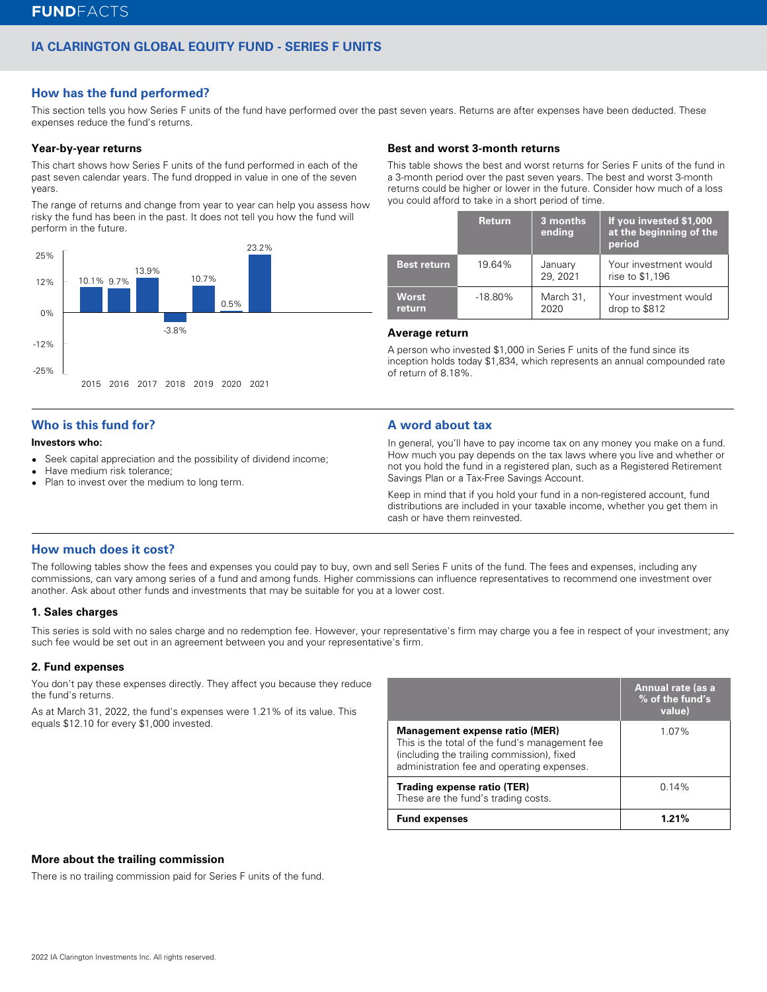# **IA CLARINGTON GLOBAL EQUITY FUND - SERIES F UNITS**

## **How has the fund performed?**

This section tells you how Series F units of the fund have performed over the past seven years. Returns are after expenses have been deducted. These expenses reduce the fund's returns.

#### **Year-by-year returns**

This chart shows how Series F units of the fund performed in each of the past seven calendar years. The fund dropped in value in one of the seven years.

The range of returns and change from year to year can help you assess how risky the fund has been in the past. It does not tell you how the fund will perform in the future.



# **Who is this fund for?**

#### **Investors who:**

- $\bullet$ Seek capital appreciation and the possibility of dividend income;
- lHave medium risk tolerance;
- lPlan to invest over the medium to long term.

#### **Best and worst 3-month returns**

This table shows the best and worst returns for Series F units of the fund in a 3-month period over the past seven years. The best and worst 3-month returns could be higher or lower in the future. Consider how much of a loss you could afford to take in a short period of time.

|                        | <b>Return</b> | 3 months<br>ending | If you invested \$1,000<br>at the beginning of the<br>period |
|------------------------|---------------|--------------------|--------------------------------------------------------------|
| <b>Best return</b>     | 19.64%        | January<br>29.2021 | Your investment would<br>rise to \$1,196                     |
| <b>Worst</b><br>return | $-18.80\%$    | March 31,<br>2020  | Your investment would<br>drop to \$812                       |

#### **Average return**

A person who invested \$1,000 in Series F units of the fund since its inception holds today \$1,834, which represents an annual compounded rate of return of 8.18%.

#### **A word about tax**

In general, you'll have to pay income tax on any money you make on a fund. How much you pay depends on the tax laws where you live and whether or not you hold the fund in a registered plan, such as a Registered Retirement Savings Plan or a Tax-Free Savings Account.

Keep in mind that if you hold your fund in a non-registered account, fund distributions are included in your taxable income, whether you get them in cash or have them reinvested.

#### **How much does it cost?**

The following tables show the fees and expenses you could pay to buy, own and sell Series F units of the fund. The fees and expenses, including any commissions, can vary among series of a fund and among funds. Higher commissions can influence representatives to recommend one investment over another. Ask about other funds and investments that may be suitable for you at a lower cost.

#### **1. Sales charges**

This series is sold with no sales charge and no redemption fee. However, your representative's firm may charge you a fee in respect of your investment; any such fee would be set out in an agreement between you and your representative's firm.

#### **2. Fund expenses**

You don't pay these expenses directly. They affect you because they reduce the fund's returns.

As at March 31, 2022, the fund's expenses were 1.21% of its value. This equals \$12.10 for every \$1,000 invested.

|                                                                                                                                                                              | Annual rate (as a<br>% of the fund's<br>value) |
|------------------------------------------------------------------------------------------------------------------------------------------------------------------------------|------------------------------------------------|
| Management expense ratio (MER)<br>This is the total of the fund's management fee<br>(including the trailing commission), fixed<br>administration fee and operating expenses. | 1.07%                                          |
| Trading expense ratio (TER)<br>These are the fund's trading costs.                                                                                                           | 0.14%                                          |
| <b>Fund expenses</b>                                                                                                                                                         | 1.21%                                          |

#### **More about the trailing commission**

There is no trailing commission paid for Series F units of the fund.